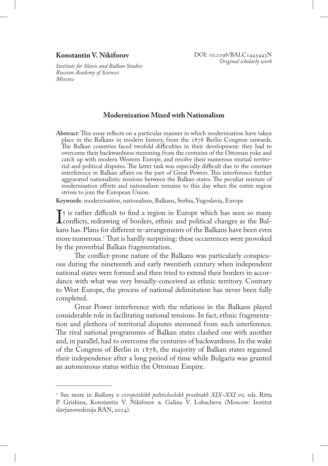## **Konstantin V. Nikiforov**

*Institute for Slavic and Balkan Studies Russian Academy of Sciences Moscow*

## **Modernization Mixed with Nationalism**

**Abstract**: This essay reflects on a particular manner in which modernisation have taken place in the Balkans in modern history, from the 1878 Berlin Congress onwards. The Balkan countries faced twofold difficulties in their development: they had to overcome their backwardness stemming from the centuries of the Ottoman yoke and catch up with modern Western Europe, and resolve their numerous mutual territorial and political disputes. The latter task was especially difficult due to the constant interference in Balkan affairs on the part of Great Powers. This interference further aggravated nationalistic tensions between the Balkan states. The peculiar mixture of modernisation efforts and nationalism remains to this day when the entire region strives to join the European Union.

**Keywords**: modernisation, nationalism, Balkans, Serbia, Yugoslavia, Europe

It is rather dimedit to find a region in Europe which has seen so many<br>conflicts, redrawing of borders, ethnic and political changes as the Bal-<br>kans has Plans for different re-arrangements of the Balkans have been even  $\mathsf{T}$ t is rather difficult to find a region in Europe which has seen so many kans has. Plans for different re-arrangements of the Balkans have been even more numerous.<sup>1</sup> That is hardly surprising: these occurrences were provoked by the proverbial Balkan fragmentation.

The conflict-prone nature of the Balkans was particularly conspicuous during the nineteenth and early twentieth century when independent national states were formed and then tried to extend their borders in accordance with what was very broadly-conceived as ethnic territory. Contrary to West Europe, the process of national delimitation has never been fully completed.

Great Power interference with the relations in the Balkans played considerable role in facilitating national tensions. In fact, ethnic fragmentation and plethora of territorial disputes stemmed from such interference. The rival national programmes of Balkan states clashed one with another and, in parallel, had to overcome the centuries of backwardness. In the wake of the Congress of Berlin in 1878, the majority of Balkan states regained their independence after a long period of time while Bulgaria was granted an autonomous status within the Ottoman Empire.

<sup>1</sup> See more in *Balkany v evropeĭskikh politicheskikh proektakh XIX–XXI vv,* eds. Ritta P. Grishina, Konstantin V. Nikiforov & Galina V. Lobacheva (Moscow: Institut slavjanovedenija RAN, 2014).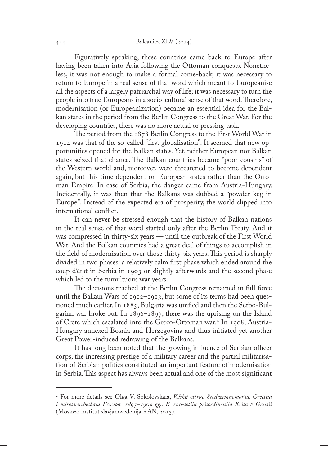Figuratively speaking, these countries came back to Europe after having been taken into Asia following the Ottoman conquests. Nonetheless, it was not enough to make a formal come-back; it was necessary to return to Europe in a real sense of that word which meant to Europeanise all the aspects of a largely patriarchal way of life; it was necessary to turn the people into true Europeans in a socio-cultural sense of that word. Therefore, modernisation (or Europeanization) became an essential idea for the Balkan states in the period from the Berlin Congress to the Great War. For the developing countries, there was no more actual or pressing task.

The period from the 1878 Berlin Congress to the First World War in 1914 was that of the so-called "first globalisation". It seemed that new opportunities opened for the Balkan states. Yet, neither European nor Balkan states seized that chance. The Balkan countries became "poor cousins" of the Western world and, moreover, were threatened to become dependent again, but this time dependent on European states rather than the Ottoman Empire. In case of Serbia, the danger came from Austria-Hungary. Incidentally, it was then that the Balkans was dubbed a "powder keg in Europe". Instead of the expected era of prosperity, the world slipped into international conflict.

It can never be stressed enough that the history of Balkan nations in the real sense of that word started only after the Berlin Treaty. And it was compressed in thirty-six years — until the outbreak of the First World War. And the Balkan countries had a great deal of things to accomplish in the field of modernisation over those thirty-six years. This period is sharply divided in two phases: a relatively calm first phase which ended around the coup d'état in Serbia in 1903 or slightly afterwards and the second phase which led to the tumultuous war years.

The decisions reached at the Berlin Congress remained in full force until the Balkan Wars of 1912–1913, but some of its terms had been questioned much earlier. In 1885, Bulgaria was unified and then the Serbo-Bulgarian war broke out. In 1896–1897, there was the uprising on the Island of Crete which escalated into the Greco-Ottoman war.2 In 1908, Austria-Hungary annexed Bosnia and Herzegovina and thus initiated yet another Great Power-induced redrawing of the Balkans.

It has long been noted that the growing influence of Serbian officer corps, the increasing prestige of a military career and the partial militarisation of Serbian politics constituted an important feature of modernisation in Serbia. This aspect has always been actual and one of the most significant

<sup>2</sup> For more details see Olga V. Sokolovskaia, *Velikiĭ ostrov Sredizemnomor'ia, Gretsiia i mirotvorcheskaia Evropa. 1897–1909 gg.: K 100-letiiu prisoedineniia Krita k Gretsii* (Moskva: Institut slavjanovedenija RAN, 2013).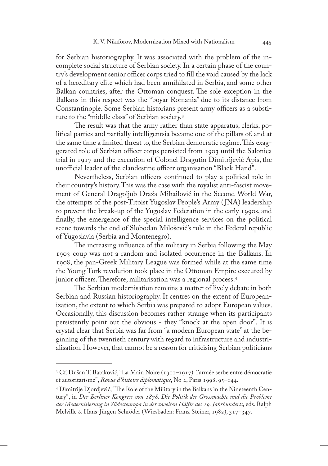for Serbian historiography. It was associated with the problem of the incomplete social structure of Serbian society. In a certain phase of the country's development senior officer corps tried to fill the void caused by the lack of a hereditary elite which had been annihilated in Serbia, and some other Balkan countries, after the Ottoman conquest. The sole exception in the Balkans in this respect was the "boyar Romania" due to its distance from Constantinople. Some Serbian historians present army officers as a substitute to the "middle class" of Serbian society.3

The result was that the army rather than state apparatus, clerks, political parties and partially intelligentsia became one of the pillars of, and at the same time a limited threat to, the Serbian democratic regime. This exaggerated role of Serbian officer corps persisted from 1903 until the Salonica trial in 1917 and the execution of Colonel Dragutin Dimitrijević Apis, the unofficial leader of the clandestine officer organisation "Black Hand".

Nevertheless, Serbian officers continued to play a political role in their country's history. This was the case with the royalist anti-fascist movement of General Dragoljub Draža Mihailović in the Second World War, the attempts of the post-Titoist Yugoslav People's Army ( JNA) leadership to prevent the break-up of the Yugoslav Federation in the early 1990s, and finally, the emergence of the special intelligence services on the political scene towards the end of Slobodan Milošević's rule in the Federal republic of Yugoslavia (Serbia and Montenegro).

The increasing influence of the military in Serbia following the May 1903 coup was not a random and isolated occurrence in the Balkans. In 1908, the pan-Greek Military League was formed while at the same time the Young Turk revolution took place in the Ottoman Empire executed by junior officers. Therefore, militarisation was a regional process.<sup>4</sup>

The Serbian modernisation remains a matter of lively debate in both Serbian and Russian historiography. It centres on the extent of Europeanization, the extent to which Serbia was prepared to adopt European values. Occasionally, this discussion becomes rather strange when its participants persistently point out the obvious - they "knock at the open door". It is crystal clear that Serbia was far from "a modern European state" at the beginning of the twentieth century with regard to infrastructure and industrialisation. However, that cannot be a reason for criticising Serbian politicians

<sup>3</sup> Cf. Dušan T. Bataković, "La Main Noire (1911–1917): l'armée serbe entre démocratie et autoritarisme", *Revue d'histoire diplomatique*, No 2, Paris 1998, 95–144.

<sup>4</sup> Dimitrije Djordjević, "The Role of the Military in the Balkans in the Nineteenth Century", in *Der Berliner Kongress von 1878. Die Politik der Grossmächte und die Probleme der Modernisierung in Südosteuropa in der zweiten Hälfte des 19. Jahrhunderts,* eds. Ralph Melville & Hans-Jürgen Schröder (Wiesbaden: Franz Steiner, 1982), 317–347.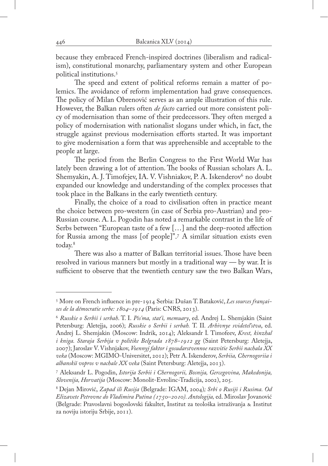because they embraced French-inspired doctrines (liberalism and radicalism), constitutional monarchy, parliamentary system and other European political institutions.5

The speed and extent of political reforms remain a matter of polemics. The avoidance of reform implementation had grave consequences. The policy of Milan Obrenović serves as an ample illustration of this rule. However, the Balkan rulers often *de facto* carried out more consistent policy of modernisation than some of their predecessors. They often merged a policy of modernisation with nationalist slogans under which, in fact, the struggle against previous modernisation efforts started. It was important to give modernisation a form that was apprehensible and acceptable to the people at large.

The period from the Berlin Congress to the First World War has lately been drawing a lot of attention. The books of Russian scholars A. L. Shemyakin, A. J. Timofejev, IA. V. Vishniakov, P. A. Iskenderov<sup>6</sup> no doubt expanded our knowledge and understanding of the complex processes that took place in the Balkans in the early twentieth century.

Finally, the choice of a road to civilisation often in practice meant the choice between pro-western (in case of Serbia pro-Austrian) and pro-Russian course. A. L. Pogodin has noted a remarkable contrast in the life of Serbs between "European taste of a few […] and the deep-rooted affection for Russia among the mass [of people]".<sup>7</sup> A similar situation exists even today.<sup>8</sup>

There was also a matter of Balkan territorial issues. Those have been resolved in various manners but mostly in a traditional way — by war. It is sufficient to observe that the twentieth century saw the two Balkan Wars,

<sup>5</sup> More on French influence in pre-1914 Serbia: Dušan T. Bataković, *Les sources françaises de la démocratie serbe: 1804–1914* (Paris: CNRS, 2013).

<sup>6</sup> *Russkie o Serbii i serbah*. T. I. *Pis'ma, stat'i, memuary*, ed. Andrej L. Shemjakin (Saint Petersburg: Aletejja, 2006); *Russkie o Serbii i serbah.* T. II*. Arhivnye svidetel'stva*, ed. Andrej L. Shemjakin (Moscow: Indrik, 2014); Aleksandr Ĭ. Timofeev, *Krest, kinzhal i kniga. Staraja Serbija v politike Belgrada 1878–1912 gg* (Saint Petersburg: Aletejja, 2007); Jaroslav V. Vishnjakov, *Voennyj faktor i gosudarstvennoe razvitie Serbii nachala XX veka* (Moscow: MGIMO-Universitet, 2012); Petr A. Iskenderov, *Serbiia, Chernogoriia i albanskiĭ vopros v nachale XX veka* (Saint Petersburg: Aletejja, 2013).

<sup>7</sup> Aleksandr L. Pogodin, *Istorija Serbii i Chernogorii, Bosnija, Gercegovina, Makedonija, Slovenija, Horvatija* (Moscow: Monolit-Evrolinc-Tradicija, 2002), 205.

<sup>8</sup> Dejan Mirović, *Zapad ili Rusija* (Belgrade: IGAM, 2004)*; Srbi o Rusiji i Rusima. Od Elizavete Petrovne do Vladimira Putina (1750–2010). Antologija,* ed. Miroslav Jovanović (Belgrade: Pravoslavni bogoslovski fakultet, Institut za teološka istraživanja & Institut za noviju istoriju Srbije, 2011).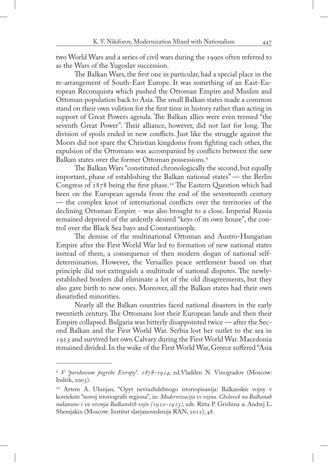two World Wars and a series of civil wars during the 1990s often referred to as the Wars of the Yugoslav succession.

The Balkan Wars, the first one in particular, had a special place in the re-arrangement of South-East Europe. It was something of an East-European Reconquista which pushed the Ottoman Empire and Muslim and Ottoman population back to Asia. The small Balkan states made a common stand on their own volition for the first time in history rather than acting in support of Great Powers agenda. The Balkan allies were even termed "the seventh Great Power". Their alliance, however, did not last for long. The division of spoils ended in new conflicts. Just like the struggle against the Moors did not spare the Christian kingdoms from fighting each other, the expulsion of the Ottomans was accompanied by conflicts between the new Balkan states over the former Ottoman possessions.9

The Balkan Wars "constituted chronologically the second, but equally important, phase of establishing the Balkan national states" — the Berlin Congress of 1878 being the first phase.<sup>10</sup> The Eastern Question which had been on the European agenda from the end of the seventeenth century — the complex knot of international conflicts over the territories of the declining Ottoman Empire - was also brought to a close. Imperial Russia remained deprived of the ardently desired "keys of its own house", the control over the Black Sea bays and Constantinople.

The demise of the multinational Ottoman and Austro-Hungarian Empire after the First World War led to formation of new national states instead of them, a consequence of then modern slogan of national selfdetermination. However, the Versailles peace settlement based on that principle did not extinguish a multitude of national disputes. The newlyestablished borders did eliminate a lot of the old disagreements, but they also gave birth to new ones. Moreover, all the Balkan states had their own dissatisfied minorities.

Nearly all the Balkan countries faced national disasters in the early twentieth century. The Ottomans lost their European lands and then their Empire collapsed. Bulgaria was bitterly disappointed twice — after the Second Balkan and the First World War. Serbia lost her outlet to the sea in 1913 and survived her own Calvary during the First World War. Macedonia remained divided. In the wake of the First World War, Greece suffered "Asia

<sup>9</sup> *V "porohovom pogrebe Evropy". 1878–1914*, ed.Vladilen N. Vinogradov (Moscow: Indrik, 2003).

<sup>10</sup> Artem A. Ulunjan*,* "Opyt nevrazhdebnogo istoriopisanija: Balkanskie vojny v kontekste "novoj istoriografii regiona", in: *Modernizacija vs vojna. Chelovek na Balkanah nakanune i vo vremja Balkanskih vojn (1912–1913),* eds. Ritta P. Grishina & Andrej L. Shemjakin (Moscow: Institut slavjanovedenija RAN, 2012), 48.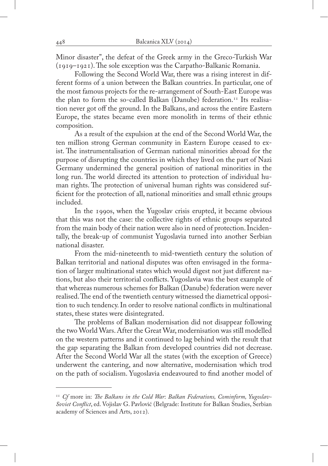Minor disaster", the defeat of the Greek army in the Greco-Turkish War (1919–1921). The sole exception was the Carpatho-Balkanic Romania.

Following the Second World War, there was a rising interest in different forms of a union between the Balkan countries. In particular, one of the most famous projects for the re-arrangement of South-East Europe was the plan to form the so-called Balkan (Danube) federation.<sup>11</sup> Its realisation never got off the ground. In the Balkans, and across the entire Eastern Europe, the states became even more monolith in terms of their ethnic composition.

As a result of the expulsion at the end of the Second World War, the ten million strong German community in Eastern Europe ceased to exist. The instrumentalisation of German national minorities abroad for the purpose of disrupting the countries in which they lived on the part of Nazi Germany undermined the general position of national minorities in the long run. The world directed its attention to protection of individual human rights. The protection of universal human rights was considered sufficient for the protection of all, national minorities and small ethnic groups included.

In the 1990s, when the Yugoslav crisis erupted, it became obvious that this was not the case: the collective rights of ethnic groups separated from the main body of their nation were also in need of protection. Incidentally, the break-up of communist Yugoslavia turned into another Serbian national disaster.

From the mid-nineteenth to mid-twentieth century the solution of Balkan territorial and national disputes was often envisaged in the formation of larger multinational states which would digest not just different nations, but also their territorial conflicts. Yugoslavia was the best example of that whereas numerous schemes for Balkan (Danube) federation were never realised. The end of the twentieth century witnessed the diametrical opposition to such tendency. In order to resolve national conflicts in multinational states, these states were disintegrated.

The problems of Balkan modernisation did not disappear following the two World Wars. After the Great War, modernisation was still modelled on the western patterns and it continued to lag behind with the result that the gap separating the Balkan from developed countries did not decrease. After the Second World War all the states (with the exception of Greece) underwent the cantering, and now alternative, modernisation which trod on the path of socialism. Yugoslavia endeavoured to find another model of

<sup>&</sup>lt;sup>11</sup> Cf more in: The Balkans in the Cold War: Balkan Federations, Cominform, Yugoslav-*Soviet Conflict*, ed. Vojislav G. Pavlović (Belgrade: Institute for Balkan Studies, Serbian academy of Sciences and Arts, 2012).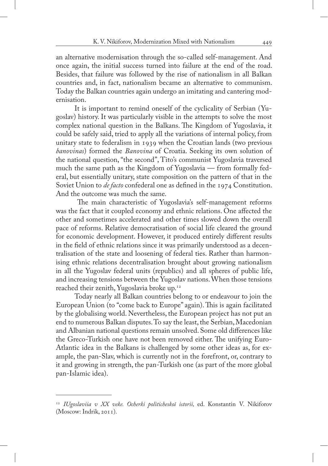an alternative modernisation through the so-called self-management. And once again, the initial success turned into failure at the end of the road. Besides, that failure was followed by the rise of nationalism in all Balkan countries and, in fact, nationalism became an alternative to communism. Today the Balkan countries again undergo an imitating and cantering modernisation.

It is important to remind oneself of the cyclicality of Serbian (Yugoslav) history. It was particularly visible in the attempts to solve the most complex national question in the Balkans. The Kingdom of Yugoslavia, it could be safely said, tried to apply all the variations of internal policy, from unitary state to federalism in 1939 when the Croatian lands (two previous *banovinas*) formed the *Banovina* of Croatia. Seeking its own solution of the national question, "the second", Tito's communist Yugoslavia traversed much the same path as the Kingdom of Yugoslavia — from formally federal, but essentially unitary, state composition on the pattern of that in the Soviet Union to *de facto* confederal one as defined in the 1974 Constitution. And the outcome was much the same.

 The main characteristic of Yugoslavia's self-management reforms was the fact that it coupled economy and ethnic relations. One affected the other and sometimes accelerated and other times slowed down the overall pace of reforms. Relative democratisation of social life cleared the ground for economic development. However, it produced entirely different results in the field of ethnic relations since it was primarily understood as a decentralisation of the state and loosening of federal ties. Rather than harmonising ethnic relations decentralisation brought about growing nationalism in all the Yugoslav federal units (republics) and all spheres of public life, and increasing tensions between the Yugoslav nations. When those tensions reached their zenith, Yugoslavia broke up.<sup>12</sup>

Today nearly all Balkan countries belong to or endeavour to join the European Union (to "come back to Europe" again). This is again facilitated by the globalising world. Nevertheless, the European project has not put an end to numerous Balkan disputes. To say the least, the Serbian, Macedonian and Albanian national questions remain unsolved. Some old differences like the Greco-Turkish one have not been removed either. The unifying Euro-Atlantic idea in the Balkans is challenged by some other ideas as, for example, the pan-Slav, which is currently not in the forefront, or, contrary to it and growing in strength, the pan-Turkish one (as part of the more global pan-Islamic idea).

<sup>12</sup> *IUgoslaviia v XX veke. Ocherki politicheskoĭ istorii,* ed. Konstantin V. Nikiforov (Moscow: Indrik, 2011).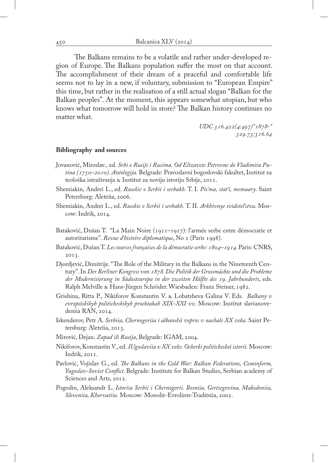The Balkans remains to be a volatile and rather under-developed region of Europe. The Balkans population suffer the most on that account. The accomplishment of their dream of a peaceful and comfortable life seems not to lay in a new, if voluntary, submission to "European Empire" this time, but rather in the realisation of a still actual slogan "Balkan for the Balkan peoples". At the moment, this appears somewhat utopian, but who knows what tomorrow will hold in store? The Balkan history continues no matter what.

> *UDC 316.422(4:497)"1878-" 329.73:316.64*

## **Bibliography and sources**

- Jovanović, Miroslav*.,* ed*. Srbi o Rusiji i Rusima. Od Elizavete Petrovne do Vladimira Putina (1750–2010). Antologija.* Belgrade: Pravoslavni bogoslovski fakultet, Institut za teološka istraživanja & Institut za noviju istoriju Srbije, 2011.
- Shemiakin, Andreĭ L., ed. *Russkie o Serbii i serbakh.* T. I. *Pis'ma, stat'i, memuary*. Saint Petersburg: Aleteĭia, 2006.
- Shemiakin, Andreĭ L., ed. *Russkie o Serbii i serbakh.* T. II. *Arkhivnye svidetel'stva*. Moscow: Indrik, 2014.
- Bataković, Dušan T. "La Main Noire (1911–1917): l'armée serbe entre démocratie et autoritarisme". *Revue d'histoire diplomatique*, No 2 (Paris 1998).
- Bataković, Dušan T. *Les sources françaises de la démocratie serbe: 1804–1914*. Paris: CNRS, 2013.
- Djordjević, Dimitrije. "The Role of the Military in the Balkans in the Nineteenth Century". In *Der Berliner Kongress von 1878. Die Politik der Grossmächte und die Probleme der Modernisierung in Südosteuropa in der zweiten Hälfte des 19. Jahrhunderts*, eds. Ralph Melville & Hans-Jürgen Schröder. Wiesbaden: Franz Steiner, 1982.
- Grishina, Ritta P., Nikiforov Konstantin V. & Lobatsheva Galina V. Eds*. Balkany v evropeĭskikyh politicheskikyh proektakah XIX-XXI vv.* Moscow: Institut slavianovedeniia RAN, 2014.
- Iskenderov, Petr A. *Serbiia, Chernogoriia i albanskiĭ vopros v nachale XX veka*. Saint Petersburg: Aleteĭia, 2013.
- Mirović, Dejan. *Zapad ili Rusija*, Belgrade: IGAM, 2004.
- Nikiforov, Konstantin V., ed. *IUgoslaviia v XX veke. Ocherki politicheskoĭ istorii.* Moscow: Indrik, 2011.
- Pavlović, Vojislav G., ed. *The Balkans in the Cold War*: *Balkan Federations, Cominform, Yugoslav-Soviet Conflict*. Belgrade: Institute for Balkan Studies, Serbian academy of Sciences and Arts, 2012.
- Pogodin, Aleksandr L. *Istoriia Serbii i Chernogorii. Bosniia, Gertsegovina, Makedoniia, Sloveniia, Khorvatiia.* Moscow: Monolit-Evrolints-Traditsiia, 2002.